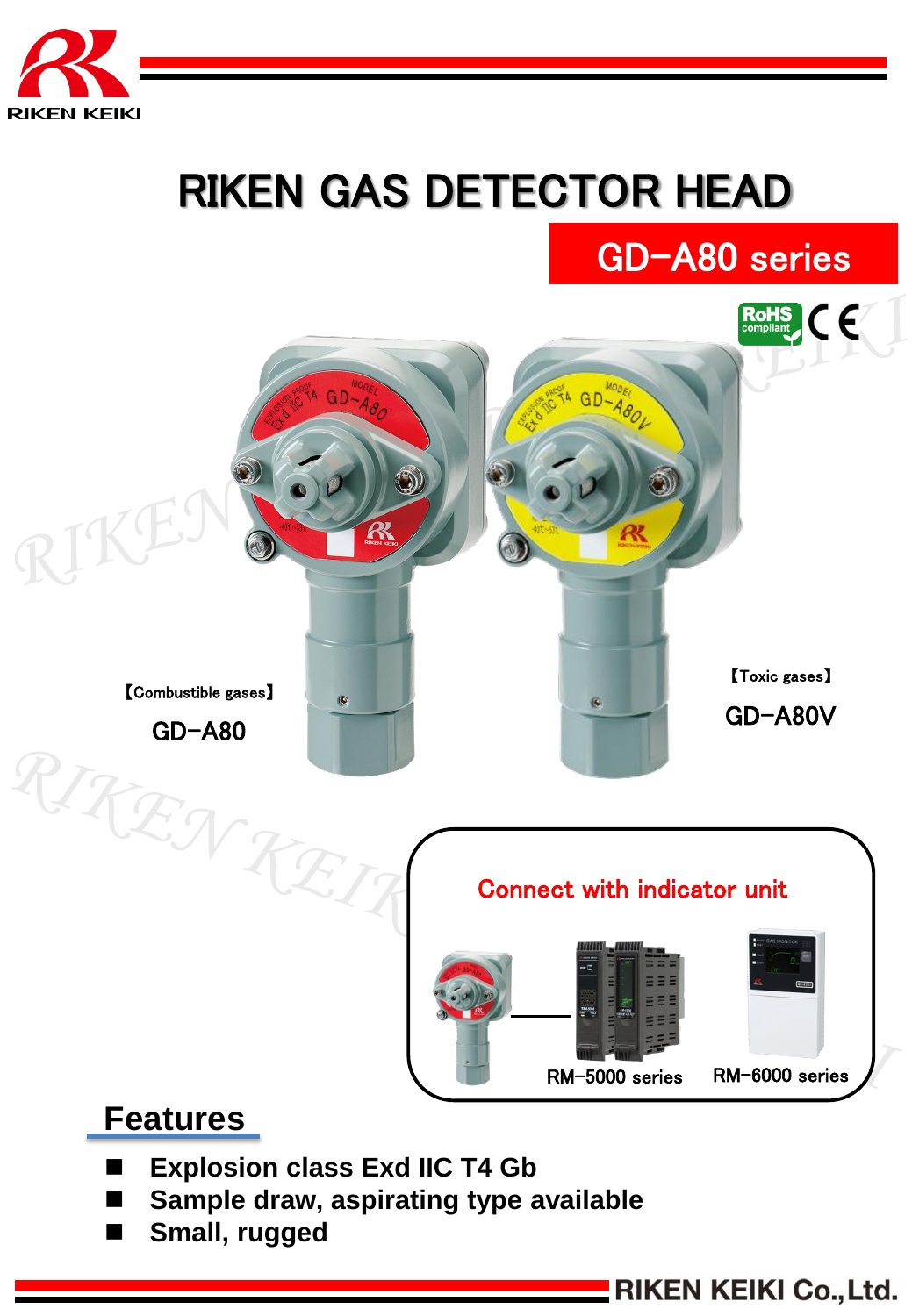

# RIKEN GAS DETECTOR HEAD



# **Features**

- **Explosion class Exd IIC T4 Gb**
- **Sample draw, aspirating type available**
- **Small, rugged**

**EXECUTE: RIKEN KEIKI Co., Ltd.** 

GD-A80 series